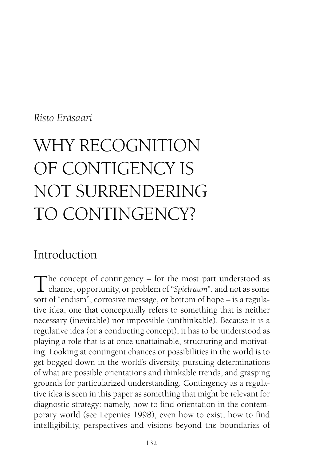### *Risto Eräsaari*

# WHY RECOGNITION OF CONTIGENCY IS NOT SURRENDERING TO CONTINGENCY?

### Introduction

The concept of contingency – for the most part understood as<br>chance, opportunity, or problem of "*Spielraum*", and not as some sort of "endism", corrosive message, or bottom of hope – is a regulative idea, one that conceptually refers to something that is neither necessary (inevitable) nor impossible (unthinkable). Because it is a regulative idea (or a conducting concept), it has to be understood as playing a role that is at once unattainable, structuring and motivating. Looking at contingent chances or possibilities in the world is to get bogged down in the world's diversity, pursuing determinations of what are possible orientations and thinkable trends, and grasping grounds for particularized understanding. Contingency as a regulative idea is seen in this paper as something that might be relevant for diagnostic strategy: namely, how to find orientation in the contemporary world (see Lepenies 1998), even how to exist, how to find intelligibility, perspectives and visions beyond the boundaries of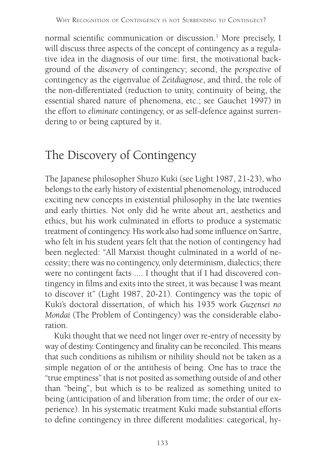normal scientific communication or discussion.<sup>1</sup> More precisely, I will discuss three aspects of the concept of contingency as a regulative idea in the diagnosis of our time: first, the motivational background of the *discovery* of contingency; second, the *perspective* of contingency as the eigenvalue of *Zeitdiagnose*, and third, the role of the non-differentiated (reduction to unity, continuity of being, the essential shared nature of phenomena, etc.; see Gauchet 1997) in the effort to *eliminate* contingency, or as self-defence against surrendering to or being captured by it.

# The Discovery of Contingency

The Japanese philosopher Shuzo Kuki (see Light 1987, 21-23), who belongs to the early history of existential phenomenology, introduced exciting new concepts in existential philosophy in the late twenties and early thirties. Not only did he write about art, aesthetics and ethics, but his work culminated in efforts to produce a systematic treatment of contingency. His work also had some influence on Sartre, who felt in his student years felt that the notion of contingency had been neglected: "All Marxist thought culminated in a world of necessity; there was no contingency, only determinism, dialectics; there were no contingent facts .... I thought that if I had discovered contingency in films and exits into the street, it was because I was meant to discover it" (Light 1987, 20-21). Contingency was the topic of Kuki's doctoral dissertation, of which his 1935 work *Guzensei no Mondai* (The Problem of Contingency) was the considerable elaboration.

Kuki thought that we need not linger over re-entry of necessity by way of destiny. Contingency and finality can be reconciled. This means that such conditions as nihilism or nihility should not be taken as a simple negation of or the antithesis of being. One has to trace the "true emptiness" that is not posited as something outside of and other than "being", but which is to be realized as something united to being (anticipation of and liberation from time; the order of our experience). In his systematic treatment Kuki made substantial efforts to define contingency in three different modalities: categorical, hy-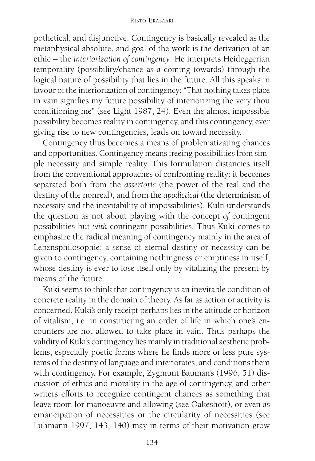#### RISTO ERÄSAARI

pothetical, and disjunctive. Contingency is basically revealed as the metaphysical absolute, and goal of the work is the derivation of an ethic – the *interiorization of contingency*. He interprets Heideggerian temporality (possibility/chance as a coming towards) through the logical nature of possibility that lies in the future. All this speaks in favour of the interiorization of contingency: "That nothing takes place in vain signifies my future possibility of interiorizing the very thou conditioning me" (see Light 1987, 24). Even the almost impossible possibility becomes reality in contingency, and this contingency, ever giving rise to new contingencies, leads on toward necessity.

Contingency thus becomes a means of problematizating chances and opportunities. Contingency means freeing possibilities from simple necessity and simple reality. This formulation distancies itself from the conventional approaches of confronting reality: it becomes separated both from the *assertoric* (the power of the real and the destiny of the nonreal), and from the *apodictical* (the determinism of necessity and the inevitability of impossibilities). Kuki understands the question as not about playing with the concept *of* contingent possibilities but *with* contingent possibilities. Thus Kuki comes to emphasize the radical meaning of contingency mainly in the area of Lebensphilosophie: a sense of eternal destiny or necessity can be given to contingency, containing nothingness or emptiness in itself, whose destiny is ever to lose itself only by vitalizing the present by means of the future.

Kuki seems to think that contingency is an inevitable condition of concrete reality in the domain of theory. As far as action or activity is concerned, Kuki's only receipt perhaps lies in the attitude or horizon of vitalism, i.e. in constructing an order of life in which one's encounters are not allowed to take place in vain. Thus perhaps the validity of Kuki's contingency lies mainly in traditional aesthetic problems, especially poetic forms where he finds more or less pure systems of the destiny of language and interiorates, and conditions them with contingency. For example, Zygmunt Bauman's (1996, 51) discussion of ethics and morality in the age of contingency, and other writers efforts to recognize contingent chances as something that leave room for manoeuvre and allowing (see Oakeshott), or even as emancipation of necessities or the circularity of necessities (see Luhmann 1997, 143, 140) may in terms of their motivation grow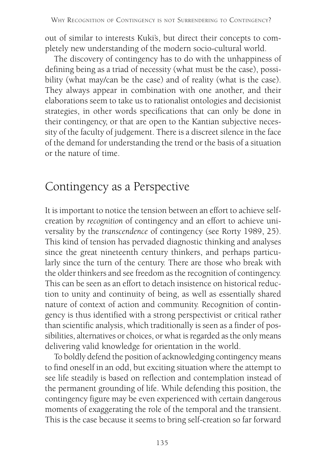out of similar to interests Kuki's, but direct their concepts to completely new understanding of the modern socio-cultural world.

The discovery of contingency has to do with the unhappiness of defining being as a triad of necessity (what must be the case), possibility (what may/can be the case) and of reality (what is the case). They always appear in combination with one another, and their elaborations seem to take us to rationalist ontologies and decisionist strategies, in other words specifications that can only be done in their contingency, or that are open to the Kantian subjective necessity of the faculty of judgement. There is a discreet silence in the face of the demand for understanding the trend or the basis of a situation or the nature of time.

### Contingency as a Perspective

It is important to notice the tension between an effort to achieve selfcreation by *recognition* of contingency and an effort to achieve universality by the *transcendence* of contingency (see Rorty 1989, 25). This kind of tension has pervaded diagnostic thinking and analyses since the great nineteenth century thinkers, and perhaps particularly since the turn of the century. There are those who break with the older thinkers and see freedom as the recognition of contingency. This can be seen as an effort to detach insistence on historical reduction to unity and continuity of being, as well as essentially shared nature of context of action and community. Recognition of contingency is thus identified with a strong perspectivist or critical rather than scientific analysis, which traditionally is seen as a finder of possibilities, alternatives or choices, or what is regarded as the only means delivering valid knowledge for orientation in the world.

To boldly defend the position of acknowledging contingency means to find oneself in an odd, but exciting situation where the attempt to see life steadily is based on reflection and contemplation instead of the permanent grounding of life. While defending this position, the contingency figure may be even experienced with certain dangerous moments of exaggerating the role of the temporal and the transient. This is the case because it seems to bring self-creation so far forward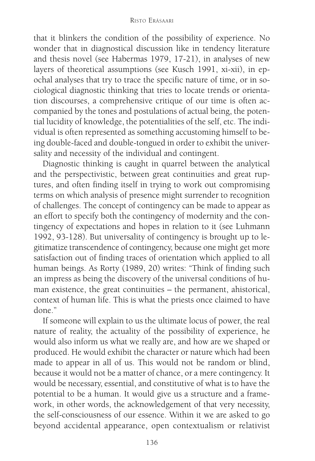that it blinkers the condition of the possibility of experience. No wonder that in diagnostical discussion like in tendency literature and thesis novel (see Habermas 1979, 17-21), in analyses of new layers of theoretical assumptions (see Kusch 1991, xi-xii), in epochal analyses that try to trace the specific nature of time, or in sociological diagnostic thinking that tries to locate trends or orientation discourses, a comprehensive critique of our time is often accompanied by the tones and postulations of actual being, the potential lucidity of knowledge, the potentialities of the self, etc. The individual is often represented as something accustoming himself to being double-faced and double-tongued in order to exhibit the universality and necessity of the individual and contingent.

Diagnostic thinking is caught in quarrel between the analytical and the perspectivistic, between great continuities and great ruptures, and often finding itself in trying to work out compromising terms on which analysis of presence might surrender to recognition of challenges. The concept of contingency can be made to appear as an effort to specify both the contingency of modernity and the contingency of expectations and hopes in relation to it (see Luhmann 1992, 93-128). But universality of contingency is brought up to legitimatize transcendence of contingency, because one might get more satisfaction out of finding traces of orientation which applied to all human beings. As Rorty (1989, 20) writes: "Think of finding such an impress as being the discovery of the universal conditions of human existence, the great continuities – the permanent, ahistorical, context of human life. This is what the priests once claimed to have done."

If someone will explain to us the ultimate locus of power, the real nature of reality, the actuality of the possibility of experience, he would also inform us what we really are, and how are we shaped or produced. He would exhibit the character or nature which had been made to appear in all of us. This would not be random or blind, because it would not be a matter of chance, or a mere contingency. It would be necessary, essential, and constitutive of what is to have the potential to be a human. It would give us a structure and a framework, in other words, the acknowledgement of that very necessity, the self-consciousness of our essence. Within it we are asked to go beyond accidental appearance, open contextualism or relativist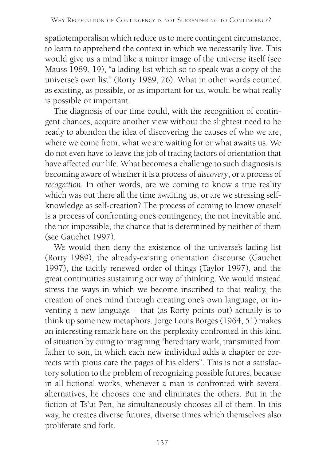spatiotemporalism which reduce us to mere contingent circumstance, to learn to apprehend the context in which we necessarily live. This would give us a mind like a mirror image of the universe itself (see Mauss 1989, 19), "a lading-list which so to speak was a copy of the universe's own list" (Rorty 1989, 26). What in other words counted as existing, as possible, or as important for us, would be what really is possible or important.

The diagnosis of our time could, with the recognition of contingent chances, acquire another view without the slightest need to be ready to abandon the idea of discovering the causes of who we are, where we come from, what we are waiting for or what awaits us. We do not even have to leave the job of tracing factors of orientation that have affected our life. What becomes a challenge to such diagnosis is becoming aware of whether it is a process of *discovery*, or a process of *recognition*. In other words, are we coming to know a true reality which was out there all the time awaiting us, or are we stressing selfknowledge as self-creation? The process of coming to know oneself is a process of confronting one's contingency, the not inevitable and the not impossible, the chance that is determined by neither of them (see Gauchet 1997).

We would then deny the existence of the universe's lading list (Rorty 1989), the already-existing orientation discourse (Gauchet 1997), the tacitly renewed order of things (Taylor 1997), and the great continuities sustaining our way of thinking. We would instead stress the ways in which we become inscribed to that reality, the creation of one's mind through creating one's own language, or inventing a new language – that (as Rorty points out) actually is to think up some new metaphors. Jorge Louis Borges (1964, 51) makes an interesting remark here on the perplexity confronted in this kind of situation by citing to imagining "hereditary work, transmitted from father to son, in which each new individual adds a chapter or corrects with pious care the pages of his elders". This is not a satisfactory solution to the problem of recognizing possible futures, because in all fictional works, whenever a man is confronted with several alternatives, he chooses one and eliminates the others. But in the fiction of Ts'ui Pen, he simultaneously chooses all of them. In this way, he creates diverse futures, diverse times which themselves also proliferate and fork.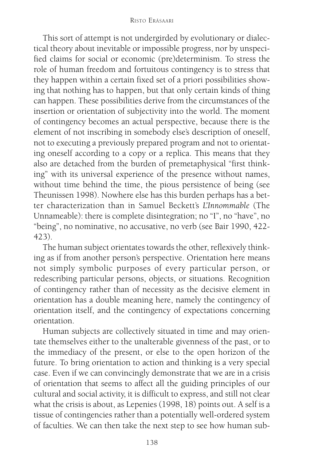This sort of attempt is not undergirded by evolutionary or dialectical theory about inevitable or impossible progress, nor by unspecified claims for social or economic (pre)determinism. To stress the role of human freedom and fortuitous contingency is to stress that they happen within a certain fixed set of a priori possibilities showing that nothing has to happen, but that only certain kinds of thing can happen. These possibilities derive from the circumstances of the insertion or orientation of subjectivity into the world. The moment of contingency becomes an actual perspective, because there is the element of not inscribing in somebody else's description of oneself, not to executing a previously prepared program and not to orientating oneself according to a copy or a replica. This means that they also are detached from the burden of premetaphysical "first thinking" with its universal experience of the presence without names, without time behind the time, the pious persistence of being (see Theunissen 1998). Nowhere else has this burden perhaps has a better characterization than in Samuel Beckett's *L'Innommable* (The Unnameable): there is complete disintegration; no "I", no "have", no "being", no nominative, no accusative, no verb (see Bair 1990, 422- 423).

The human subject orientates towards the other, reflexively thinking as if from another person's perspective. Orientation here means not simply symbolic purposes of every particular person, or redescribing particular persons, objects, or situations. Recognition of contingency rather than of necessity as the decisive element in orientation has a double meaning here, namely the contingency of orientation itself, and the contingency of expectations concerning orientation.

Human subjects are collectively situated in time and may orientate themselves either to the unalterable givenness of the past, or to the immediacy of the present, or else to the open horizon of the future. To bring orientation to action and thinking is a very special case. Even if we can convincingly demonstrate that we are in a crisis of orientation that seems to affect all the guiding principles of our cultural and social activity, it is difficult to express, and still not clear what the crisis is about, as Lepenies (1998, 18) points out. A self is a tissue of contingencies rather than a potentially well-ordered system of faculties. We can then take the next step to see how human sub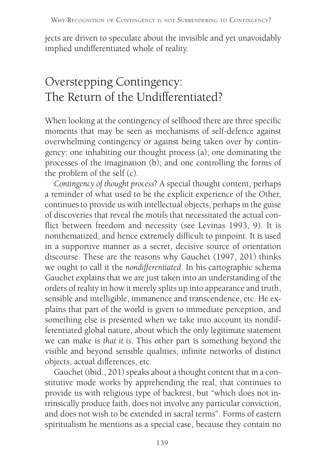jects are driven to speculate about the invisible and yet unavoidably implied undifferentiated whole of reality.

# Overstepping Contingency: The Return of the Undifferentiated?

When looking at the contingency of selfhood there are three specific moments that may be seen as mechanisms of self-defence against overwhelming contingency or against being taken over by contingency: one inhabiting our thought process (a); one dominating the processes of the imagination (b); and one controlling the forms of the problem of the self (c).

*Contingency of thought process*? A special thought content, perhaps a reminder of what used to be the explicit experience of the Other, continues to provide us with intellectual objects, perhaps in the guise of discoveries that reveal the motifs that necessitated the actual conflict between freedom and necessity (see Levinas 1993, 9). It is nonthematized, and hence extremely difficult to pinpoint. It is used in a supportive manner as a secret, decisive source of orientation discourse. These are the reasons why Gauchet (1997, 201) thinks we ought to call it the *nondifferentiated*. In his cartographic schema Gauchet explains that we are just taken into an understanding of the orders of reality in how it merely splits up into appearance and truth, sensible and intelligible, immanence and transcendence, etc. He explains that part of the world is given to immediate perception, and something else is presented when we take into account its nondifferentiated global nature, about which the only legitimate statement we can make is *that it is*. This other part is something beyond the visible and beyond sensible qualities, infinite networks of distinct objects, actual differences, etc.

Gauchet (ibid., 201) speaks about a thought content that in a constitutive mode works by apprehending the real, that continues to provide us with religious type of backrest, but "which does not intrinsically produce faith, does not involve any particular conviction, and does not wish to be extended in sacral terms". Forms of eastern spiritualism he mentions as a special case, because they contain no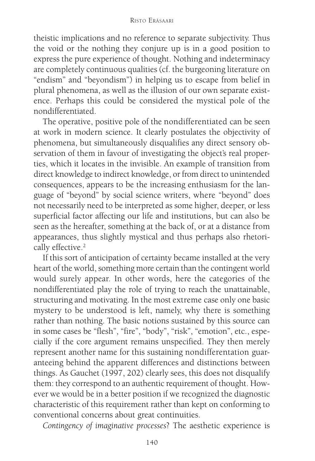theistic implications and no reference to separate subjectivity. Thus the void or the nothing they conjure up is in a good position to express the pure experience of thought. Nothing and indeterminacy are completely continuous qualities (cf. the burgeoning literature on "endism" and "beyondism") in helping us to escape from belief in plural phenomena, as well as the illusion of our own separate existence. Perhaps this could be considered the mystical pole of the nondifferentiated.

The operative, positive pole of the nondifferentiated can be seen at work in modern science. It clearly postulates the objectivity of phenomena, but simultaneously disqualifies any direct sensory observation of them in favour of investigating the object's real properties, which it locates in the invisible. An example of transition from direct knowledge to indirect knowledge, or from direct to unintended consequences, appears to be the increasing enthusiasm for the language of "beyond" by social science writers, where "beyond" does not necessarily need to be interpreted as some higher, deeper, or less superficial factor affecting our life and institutions, but can also be seen as the hereafter, something at the back of, or at a distance from appearances, thus slightly mystical and thus perhaps also rhetorically effective.<sup>2</sup>

If this sort of anticipation of certainty became installed at the very heart of the world, something more certain than the contingent world would surely appear. In other words, here the categories of the nondifferentiated play the role of trying to reach the unattainable, structuring and motivating. In the most extreme case only one basic mystery to be understood is left, namely, why there is something rather than nothing. The basic notions sustained by this source can in some cases be "flesh", "fire", "body", "risk", "emotion", etc., especially if the core argument remains unspecified. They then merely represent another name for this sustaining nondifferentation guaranteeing behind the apparent differences and distinctions between things. As Gauchet (1997, 202) clearly sees, this does not disqualify them: they correspond to an authentic requirement of thought. However we would be in a better position if we recognized the diagnostic characteristic of this requirement rather than kept on conforming to conventional concerns about great continuities.

*Contingency of imaginative processes*? The aesthetic experience is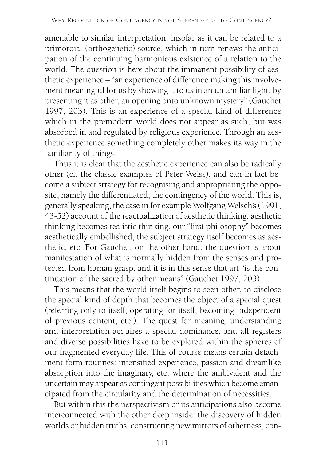amenable to similar interpretation, insofar as it can be related to a primordial (orthogenetic) source, which in turn renews the anticipation of the continuing harmonious existence of a relation to the world. The question is here about the immanent possibility of aesthetic experience – "an experience of difference making this involvement meaningful for us by showing it to us in an unfamiliar light, by presenting it as other, an opening onto unknown mystery" (Gauchet 1997, 203). This is an experience of a special kind of difference which in the premodern world does not appear as such, but was absorbed in and regulated by religious experience. Through an aesthetic experience something completely other makes its way in the familiarity of things.

Thus it is clear that the aesthetic experience can also be radically other (cf. the classic examples of Peter Weiss), and can in fact become a subject strategy for recognising and appropriating the opposite, namely the differentiated, the contingency of the world. This is, generally speaking, the case in for example Wolfgang Welsch's (1991, 43-52) account of the reactualization of aesthetic thinking: aesthetic thinking becomes realistic thinking, our "first philosophy" becomes aesthetically embellished, the subject strategy itself becomes as aesthetic, etc. For Gauchet, on the other hand, the question is about manifestation of what is normally hidden from the senses and protected from human grasp, and it is in this sense that art "is the continuation of the sacred by other means" (Gauchet 1997, 203).

This means that the world itself begins to seen other, to disclose the special kind of depth that becomes the object of a special quest (referring only to itself, operating for itself, becoming independent of previous content, etc.). The quest for meaning, understanding and interpretation acquires a special dominance, and all registers and diverse possibilities have to be explored within the spheres of our fragmented everyday life. This of course means certain detachment form routines: intensified experience, passion and dreamlike absorption into the imaginary, etc. where the ambivalent and the uncertain may appear as contingent possibilities which become emancipated from the circularity and the determination of necessities.

But within this the perspectivism or its anticipations also become interconnected with the other deep inside: the discovery of hidden worlds or hidden truths, constructing new mirrors of otherness, con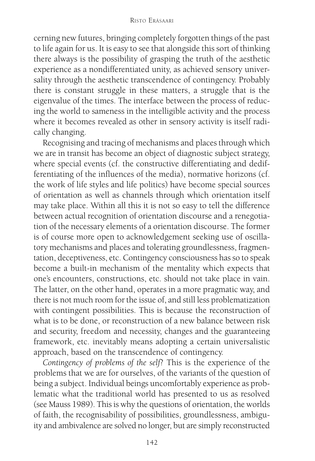cerning new futures, bringing completely forgotten things of the past to life again for us. It is easy to see that alongside this sort of thinking there always is the possibility of grasping the truth of the aesthetic experience as a nondifferentiated unity, as achieved sensory universality through the aesthetic transcendence of contingency. Probably there is constant struggle in these matters, a struggle that is the eigenvalue of the times. The interface between the process of reducing the world to sameness in the intelligible activity and the process where it becomes revealed as other in sensory activity is itself radically changing.

Recognising and tracing of mechanisms and places through which we are in transit has become an object of diagnostic subject strategy, where special events (cf. the constructive differentiating and dedifferentiating of the influences of the media), normative horizons (cf. the work of life styles and life politics) have become special sources of orientation as well as channels through which orientation itself may take place. Within all this it is not so easy to tell the difference between actual recognition of orientation discourse and a renegotiation of the necessary elements of a orientation discourse. The former is of course more open to acknowledgement seeking use of oscillatory mechanisms and places and tolerating groundlessness, fragmentation, deceptiveness, etc. Contingency consciousness has so to speak become a built-in mechanism of the mentality which expects that one's encounters, constructions, etc. should not take place in vain. The latter, on the other hand, operates in a more pragmatic way, and there is not much room for the issue of, and still less problematization with contingent possibilities. This is because the reconstruction of what is to be done, or reconstruction of a new balance between risk and security, freedom and necessity, changes and the guaranteeing framework, etc. inevitably means adopting a certain universalistic approach, based on the transcendence of contingency.

*Contingency of problems of the self*? This is the experience of the problems that we are for ourselves, of the variants of the question of being a subject. Individual beings uncomfortably experience as problematic what the traditional world has presented to us as resolved (see Mauss 1989). This is why the questions of orientation, the worlds of faith, the recognisability of possibilities, groundlessness, ambiguity and ambivalence are solved no longer, but are simply reconstructed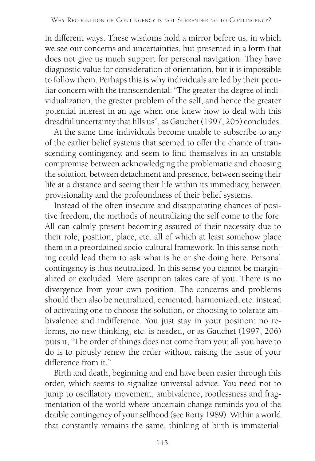in different ways. These wisdoms hold a mirror before us, in which we see our concerns and uncertainties, but presented in a form that does not give us much support for personal navigation. They have diagnostic value for consideration of orientation, but it is impossible to follow them. Perhaps this is why individuals are led by their peculiar concern with the transcendental: "The greater the degree of individualization, the greater problem of the self, and hence the greater potential interest in an age when one knew how to deal with this dreadful uncertainty that fills us", as Gauchet (1997, 205) concludes.

At the same time individuals become unable to subscribe to any of the earlier belief systems that seemed to offer the chance of transcending contingency, and seem to find themselves in an unstable compromise between acknowledging the problematic and choosing the solution, between detachment and presence, between seeing their life at a distance and seeing their life within its immediacy, between provisionality and the profoundness of their belief systems.

Instead of the often insecure and disappointing chances of positive freedom, the methods of neutralizing the self come to the fore. All can calmly present becoming assured of their necessity due to their role, position, place, etc. all of which at least somehow place them in a preordained socio-cultural framework. In this sense nothing could lead them to ask what is he or she doing here. Personal contingency is thus neutralized. In this sense you cannot be marginalized or excluded. Mere ascription takes care of you. There is no divergence from your own position. The concerns and problems should then also be neutralized, cemented, harmonized, etc. instead of activating one to choose the solution, or choosing to tolerate ambivalence and indifference. You just stay in your position: no reforms, no new thinking, etc. is needed, or as Gauchet (1997, 206) puts it, "The order of things does not come from you; all you have to do is to piously renew the order without raising the issue of your difference from it."

Birth and death, beginning and end have been easier through this order, which seems to signalize universal advice. You need not to jump to oscillatory movement, ambivalence, rootlessness and fragmentation of the world where uncertain change reminds you of the double contingency of your selfhood (see Rorty 1989). Within a world that constantly remains the same, thinking of birth is immaterial.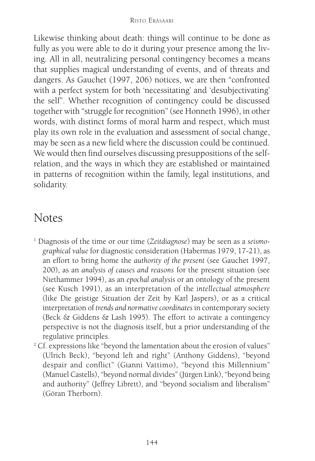Likewise thinking about death: things will continue to be done as fully as you were able to do it during your presence among the living. All in all, neutralizing personal contingency becomes a means that supplies magical understanding of events, and of threats and dangers. As Gauchet (1997, 206) notices, we are then "confronted with a perfect system for both 'necessitating' and 'desubjectivating' the self". Whether recognition of contingency could be discussed together with "struggle for recognition" (see Honneth 1996), in other words, with distinct forms of moral harm and respect, which must play its own role in the evaluation and assessment of social change, may be seen as a new field where the discussion could be continued. We would then find ourselves discussing presuppositions of the selfrelation, and the ways in which they are established or maintained in patterns of recognition within the family, legal institutions, and solidarity.

## Notes

- 1 Diagnosis of the time or our time (*Zeitdiagnose*) may be seen as a *seismographical value* for diagnostic consideration (Habermas 1979, 17-21), as an effort to bring home the *authority of the present* (see Gauchet 1997, 200), as an *analysis of causes and reasons* for the present situation (see Niethammer 1994), as an *epochal analysis* or an ontology of the present (see Kusch 1991), as an interpretation of the *intellectual atmosphere* (like Die geistige Situation der Zeit by Karl Jaspers), or as a critical interpretation of *trends and normative coordinates* in contemporary society (Beck & Giddens & Lash 1995). The effort to activate a contingency perspective is not the diagnosis itself, but a prior understanding of the regulative principles.
- <sup>2</sup> Cf. expressions like "beyond the lamentation about the erosion of values" (Ulrich Beck), "beyond left and right" (Anthony Giddens), "beyond despair and conflict" (Gianni Vattimo), "beyond this Millennium" (Manuel Castells), "beyond normal divides" (Jürgen Link), "beyond being and authority" (Jeffrey Librett), and "beyond socialism and liberalism" (Göran Therborn).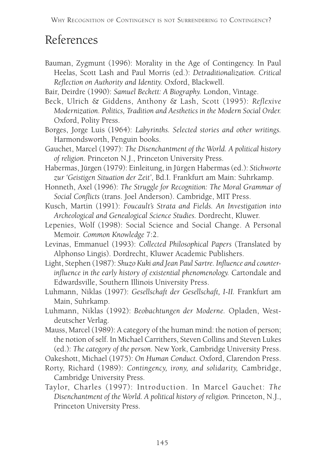WHY RECOGNITION OF CONTINGENCY IS NOT SURRENDERING TO CONTINGENCY?

# References

- Bauman, Zygmunt (1996): Morality in the Age of Contingency. In Paul Heelas, Scott Lash and Paul Morris (ed.): *Detraditionalization. Critical Reflection on Authority and Identity.* Oxford, Blackwell.
- Bair, Deirdre (1990): *Samuel Beckett: A Biography.* London, Vintage.
- Beck, Ulrich & Giddens, Anthony & Lash, Scott (1995): *Reflexive Modernization. Politics, Tradition and Aesthetics in the Modern Social Order.* Oxford, Polity Press.
- Borges, Jorge Luis (1964): *Labyrinths. Selected stories and other writings.* Harmondsworth, Penguin books.
- Gauchet, Marcel (1997): *The Disenchantment of the World. A political history of religion.* Princeton N.J., Princeton University Press.
- Habermas, Jürgen (1979): Einleitung, in Jürgen Habermas (ed.): *Stichworte zur 'Geistigen Situation der Zeit'*, Bd.I. Frankfurt am Main: Suhrkamp.
- Honneth, Axel (1996): *The Struggle for Recognition: The Moral Grammar of Social Conflicts* (trans. Joel Anderson). Cambridge, MIT Press.
- Kusch, Martin (1991): *Foucault's Strata and Fields. An Investigation into Archeological and Genealogical Science Studies.* Dordrecht, Kluwer.
- Lepenies, Wolf (1998): Social Science and Social Change. A Personal Memoir. *Common Knowledge* 7:2.
- Levinas, Emmanuel (1993): *Collected Philosophical Papers* (Translated by Alphonso Lingis). Dordrecht, Kluwer Academic Publishers.
- Light, Stephen (1987): *Shuzo Kuki and Jean Paul Sartre. Influence and counterinfluence in the early history of existential phenomenology.* Cartondale and Edwardsville, Southern Illinois University Press.
- Luhmann, Niklas (1997): *Gesellschaft der Gesellschaft, I-II.* Frankfurt am Main, Suhrkamp.
- Luhmann, Niklas (1992): *Beobachtungen der Moderne.* Opladen, Westdeutscher Verlag.
- Mauss, Marcel (1989): A category of the human mind: the notion of person; the notion of self. In Michael Carrithers, Steven Collins and Steven Lukes (ed.): *The category of the person.* New York, Cambridge University Press.

Oakeshott, Michael (1975): *On Human Conduct.* Oxford, Clarendon Press.

- Rorty, Richard (1989): *Contingency, irony, and solidarity,* Cambridge, Cambridge University Press.
- Taylor, Charles (1997): Introduction. In Marcel Gauchet: *The Disenchantment of the World. A political history of religion.* Princeton, N.J., Princeton University Press.